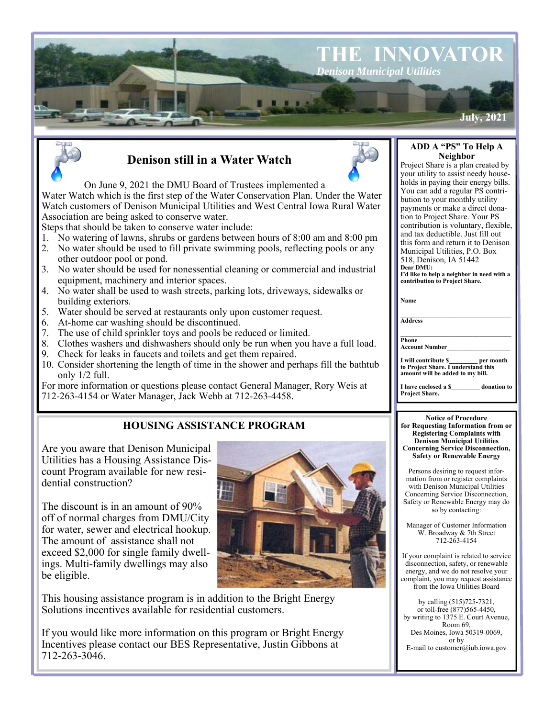



# **Denison still in a Water Watch**

#### **ADD A "PS" To Help A Neighbor**

Project Share is a plan created by your utility to assist needy households in paying their energy bills. You can add a regular PS contribution to your monthly utility payments or make a direct donation to Project Share. Your PS contribution is voluntary, flexible, and tax deductible. Just fill out this form and return it to Denison Municipal Utilities, P.O. Box 518, Denison, IA 51442

**Dear DMU: I'd like to help a neighbor in need with a contribution to Project Share.** 

| Name |  |  |  |
|------|--|--|--|
|      |  |  |  |
|      |  |  |  |

**Address** 

 $\overline{\mathbf{N}}$ 

**Phone Account Number\_\_\_\_\_\_\_\_\_\_\_\_\_\_\_\_\_\_\_\_** 

**I will contribute \$\_\_\_\_\_\_\_\_\_ per month to Project Share. I understand this amount will be added to my bill.**

**\_\_\_\_\_\_\_\_\_\_\_\_\_\_\_\_\_\_\_\_\_\_\_\_\_\_\_\_\_\_\_\_\_\_\_** 

**I have enclosed a \$\_\_\_\_\_\_\_\_\_ donation to Project Share.** 

#### **Notice of Procedure for Requesting Information from or Registering Complaints with Denison Municipal Utilities Concerning Service Disconnection, Safety or Renewable Energy**

Persons desiring to request information from or register complaints with Denison Municipal Utilities Concerning Service Disconnection, Safety or Renewable Energy may do so by contacting:

Manager of Customer Information W. Broadway & 7th Street 712-263-4154

If your complaint is related to service disconnection, safety, or renewable energy, and we do not resolve your complaint, you may request assistance from the Iowa Utilities Board

by calling (515)725-7321, or toll-free (877)565-4450, by writing to 1375 E. Court Avenue, Room 69, Des Moines, Iowa 50319-0069, or by E-mail to customer@iub.iowa.gov

### On June 9, 2021 the DMU Board of Trustees implemented a

Water Watch which is the first step of the Water Conservation Plan. Under the Water Watch customers of Denison Municipal Utilities and West Central Iowa Rural Water Association are being asked to conserve water.

Steps that should be taken to conserve water include:

- 1. No watering of lawns, shrubs or gardens between hours of 8:00 am and 8:00 pm
- 2. No water should be used to fill private swimming pools, reflecting pools or any
- other outdoor pool or pond. 3. No water should be used for nonessential cleaning or commercial and industrial equipment, machinery and interior spaces.
- 4. No water shall be used to wash streets, parking lots, driveways, sidewalks or building exteriors.
- 5. Water should be served at restaurants only upon customer request.
- 6. At-home car washing should be discontinued.
- 7. The use of child sprinkler toys and pools be reduced or limited.
- 8. Clothes washers and dishwashers should only be run when you have a full load.
- 9. Check for leaks in faucets and toilets and get them repaired.
- 10. Consider shortening the length of time in the shower and perhaps fill the bathtub only 1/2 full.

For more information or questions please contact General Manager, Rory Weis at 712-263-4154 or Water Manager, Jack Webb at 712-263-4458.

## **HOUSING ASSISTANCE PROGRAM**

Are you aware that Denison Municipal Utilities has a Housing Assistance Discount Program available for new residential construction?

The discount is in an amount of 90% off of normal charges from DMU/City for water, sewer and electrical hookup. The amount of assistance shall not exceed \$2,000 for single family dwellings. Multi-family dwellings may also be eligible.

This housing assistance program is in addition to the Bright Energy Solutions incentives available for residential customers.

If you would like more information on this program or Bright Energy Incentives please contact our BES Representative, Justin Gibbons at 712-263-3046.